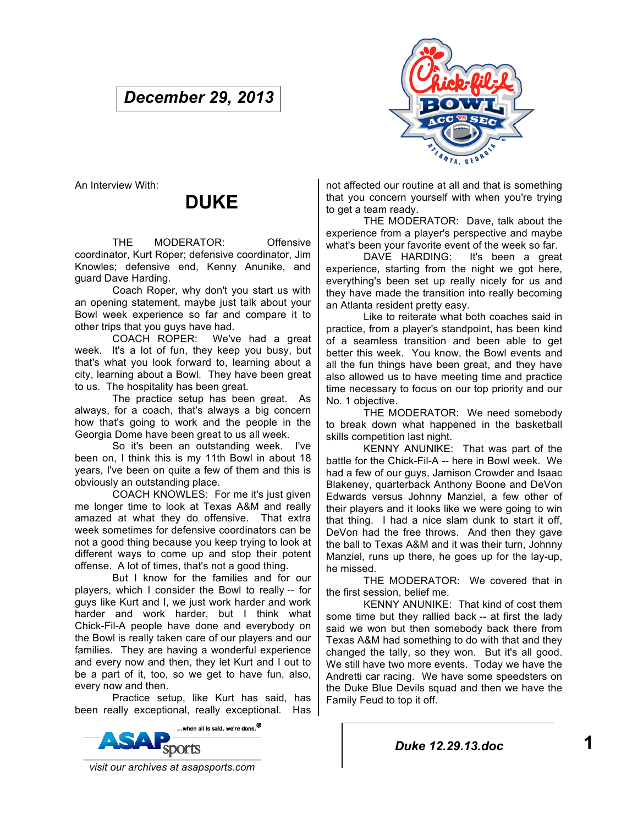# *December 29, 2013*



An Interview With:

# **DUKE**

THE MODERATOR: Offensive coordinator, Kurt Roper; defensive coordinator, Jim Knowles; defensive end, Kenny Anunike, and guard Dave Harding.

Coach Roper, why don't you start us with an opening statement, maybe just talk about your Bowl week experience so far and compare it to other trips that you guys have had.

COACH ROPER: We've had a great week. It's a lot of fun, they keep you busy, but that's what you look forward to, learning about a city, learning about a Bowl. They have been great to us. The hospitality has been great.

The practice setup has been great. As always, for a coach, that's always a big concern how that's going to work and the people in the Georgia Dome have been great to us all week.

So it's been an outstanding week. I've been on, I think this is my 11th Bowl in about 18 years, I've been on quite a few of them and this is obviously an outstanding place.

COACH KNOWLES: For me it's just given me longer time to look at Texas A&M and really amazed at what they do offensive. That extra week sometimes for defensive coordinators can be not a good thing because you keep trying to look at different ways to come up and stop their potent offense. A lot of times, that's not a good thing.

But I know for the families and for our players, which I consider the Bowl to really -- for guys like Kurt and I, we just work harder and work harder and work harder, but I think what Chick-Fil-A people have done and everybody on the Bowl is really taken care of our players and our families. They are having a wonderful experience and every now and then, they let Kurt and I out to be a part of it, too, so we get to have fun, also, every now and then.

Practice setup, like Kurt has said, has been really exceptional, really exceptional. Has



not affected our routine at all and that is something that you concern yourself with when you're trying to get a team ready.

THE MODERATOR: Dave, talk about the experience from a player's perspective and maybe what's been your favorite event of the week so far.

DAVE HARDING: It's been a great experience, starting from the night we got here, everything's been set up really nicely for us and they have made the transition into really becoming an Atlanta resident pretty easy.

Like to reiterate what both coaches said in practice, from a player's standpoint, has been kind of a seamless transition and been able to get better this week. You know, the Bowl events and all the fun things have been great, and they have also allowed us to have meeting time and practice time necessary to focus on our top priority and our No. 1 objective.

THE MODERATOR: We need somebody to break down what happened in the basketball skills competition last night.

KENNY ANUNIKE: That was part of the battle for the Chick-Fil-A -- here in Bowl week. We had a few of our guys, Jamison Crowder and Isaac Blakeney, quarterback Anthony Boone and DeVon Edwards versus Johnny Manziel, a few other of their players and it looks like we were going to win that thing. I had a nice slam dunk to start it off, DeVon had the free throws. And then they gave the ball to Texas A&M and it was their turn, Johnny Manziel, runs up there, he goes up for the lay-up, he missed.

THE MODERATOR: We covered that in the first session, belief me.

KENNY ANUNIKE: That kind of cost them some time but they rallied back -- at first the lady said we won but then somebody back there from Texas A&M had something to do with that and they changed the tally, so they won. But it's all good. We still have two more events. Today we have the Andretti car racing. We have some speedsters on the Duke Blue Devils squad and then we have the Family Feud to top it off.

*Duke 12.29.13.doc* **1**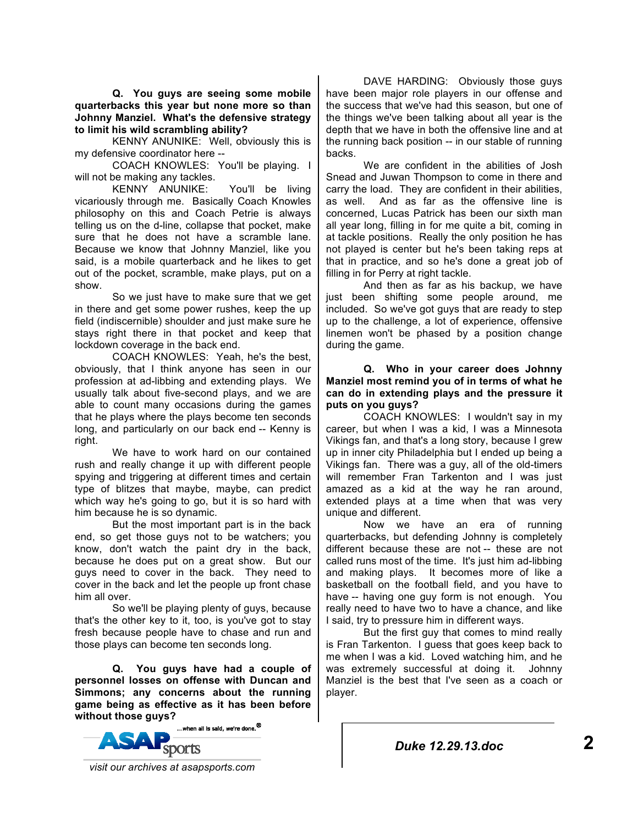**Q. You guys are seeing some mobile quarterbacks this year but none more so than Johnny Manziel. What's the defensive strategy to limit his wild scrambling ability?** 

KENNY ANUNIKE: Well, obviously this is my defensive coordinator here --

COACH KNOWLES: You'll be playing. I will not be making any tackles.

KENNY ANUNIKE: You'll be living vicariously through me. Basically Coach Knowles philosophy on this and Coach Petrie is always telling us on the d-line, collapse that pocket, make sure that he does not have a scramble lane. Because we know that Johnny Manziel, like you said, is a mobile quarterback and he likes to get out of the pocket, scramble, make plays, put on a show.

So we just have to make sure that we get in there and get some power rushes, keep the up field (indiscernible) shoulder and just make sure he stays right there in that pocket and keep that lockdown coverage in the back end.

COACH KNOWLES: Yeah, he's the best, obviously, that I think anyone has seen in our profession at ad-libbing and extending plays. We usually talk about five-second plays, and we are able to count many occasions during the games that he plays where the plays become ten seconds long, and particularly on our back end -- Kenny is right.

We have to work hard on our contained rush and really change it up with different people spying and triggering at different times and certain type of blitzes that maybe, maybe, can predict which way he's going to go, but it is so hard with him because he is so dynamic.

But the most important part is in the back end, so get those guys not to be watchers; you know, don't watch the paint dry in the back, because he does put on a great show. But our guys need to cover in the back. They need to cover in the back and let the people up front chase him all over.

So we'll be playing plenty of guys, because that's the other key to it, too, is you've got to stay fresh because people have to chase and run and those plays can become ten seconds long.

**Q. You guys have had a couple of personnel losses on offense with Duncan and Simmons; any concerns about the running game being as effective as it has been before without those guys?**<br>A mericall is said, we're done.<sup>®</sup>



DAVE HARDING: Obviously those guys have been major role players in our offense and the success that we've had this season, but one of the things we've been talking about all year is the depth that we have in both the offensive line and at the running back position -- in our stable of running backs.

We are confident in the abilities of Josh Snead and Juwan Thompson to come in there and carry the load. They are confident in their abilities, as well. And as far as the offensive line is concerned, Lucas Patrick has been our sixth man all year long, filling in for me quite a bit, coming in at tackle positions. Really the only position he has not played is center but he's been taking reps at that in practice, and so he's done a great job of filling in for Perry at right tackle.

And then as far as his backup, we have just been shifting some people around, me included. So we've got guys that are ready to step up to the challenge, a lot of experience, offensive linemen won't be phased by a position change during the game.

## **Q. Who in your career does Johnny Manziel most remind you of in terms of what he can do in extending plays and the pressure it puts on you guys?**

COACH KNOWLES: I wouldn't say in my career, but when I was a kid, I was a Minnesota Vikings fan, and that's a long story, because I grew up in inner city Philadelphia but I ended up being a Vikings fan. There was a guy, all of the old-timers will remember Fran Tarkenton and I was just amazed as a kid at the way he ran around, extended plays at a time when that was very unique and different.

Now we have an era of running quarterbacks, but defending Johnny is completely different because these are not -- these are not called runs most of the time. It's just him ad-libbing and making plays. It becomes more of like a basketball on the football field, and you have to have -- having one guy form is not enough. You really need to have two to have a chance, and like I said, try to pressure him in different ways.

But the first guy that comes to mind really is Fran Tarkenton. I guess that goes keep back to me when I was a kid. Loved watching him, and he was extremely successful at doing it. Johnny Manziel is the best that I've seen as a coach or player.

 *visit our archives at asapsports.com*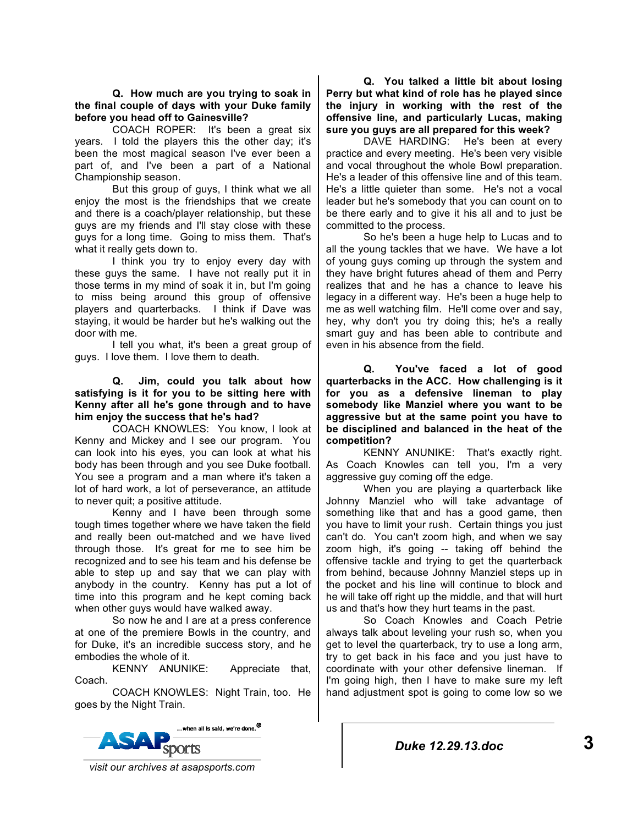**Q. How much are you trying to soak in the final couple of days with your Duke family before you head off to Gainesville?** 

COACH ROPER: It's been a great six years. I told the players this the other day; it's been the most magical season I've ever been a part of, and I've been a part of a National Championship season.

But this group of guys, I think what we all enjoy the most is the friendships that we create and there is a coach/player relationship, but these guys are my friends and I'll stay close with these guys for a long time. Going to miss them. That's what it really gets down to.

I think you try to enjoy every day with these guys the same. I have not really put it in those terms in my mind of soak it in, but I'm going to miss being around this group of offensive players and quarterbacks. I think if Dave was staying, it would be harder but he's walking out the door with me.

I tell you what, it's been a great group of guys. I love them. I love them to death.

#### **Q. Jim, could you talk about how satisfying is it for you to be sitting here with Kenny after all he's gone through and to have him enjoy the success that he's had?**

COACH KNOWLES: You know, I look at Kenny and Mickey and I see our program. You can look into his eyes, you can look at what his body has been through and you see Duke football. You see a program and a man where it's taken a lot of hard work, a lot of perseverance, an attitude to never quit; a positive attitude.

Kenny and I have been through some tough times together where we have taken the field and really been out-matched and we have lived through those. It's great for me to see him be recognized and to see his team and his defense be able to step up and say that we can play with anybody in the country. Kenny has put a lot of time into this program and he kept coming back when other guys would have walked away.

So now he and I are at a press conference at one of the premiere Bowls in the country, and for Duke, it's an incredible success story, and he embodies the whole of it.

KENNY ANUNIKE: Appreciate that, Coach.

COACH KNOWLES: Night Train, too. He goes by the Night Train.



**Q. You talked a little bit about losing Perry but what kind of role has he played since the injury in working with the rest of the offensive line, and particularly Lucas, making sure you guys are all prepared for this week?** 

DAVE HARDING: He's been at every practice and every meeting. He's been very visible and vocal throughout the whole Bowl preparation. He's a leader of this offensive line and of this team. He's a little quieter than some. He's not a vocal leader but he's somebody that you can count on to be there early and to give it his all and to just be committed to the process.

So he's been a huge help to Lucas and to all the young tackles that we have. We have a lot of young guys coming up through the system and they have bright futures ahead of them and Perry realizes that and he has a chance to leave his legacy in a different way. He's been a huge help to me as well watching film. He'll come over and say, hey, why don't you try doing this; he's a really smart guy and has been able to contribute and even in his absence from the field.

**Q. You've faced a lot of good quarterbacks in the ACC. How challenging is it for you as a defensive lineman to play somebody like Manziel where you want to be aggressive but at the same point you have to be disciplined and balanced in the heat of the competition?** 

KENNY ANUNIKE: That's exactly right. As Coach Knowles can tell you, I'm a very aggressive guy coming off the edge.

When you are playing a quarterback like Johnny Manziel who will take advantage of something like that and has a good game, then you have to limit your rush. Certain things you just can't do. You can't zoom high, and when we say zoom high, it's going -- taking off behind the offensive tackle and trying to get the quarterback from behind, because Johnny Manziel steps up in the pocket and his line will continue to block and he will take off right up the middle, and that will hurt us and that's how they hurt teams in the past.

So Coach Knowles and Coach Petrie always talk about leveling your rush so, when you get to level the quarterback, try to use a long arm, try to get back in his face and you just have to coordinate with your other defensive lineman. If I'm going high, then I have to make sure my left hand adjustment spot is going to come low so we

 *visit our archives at asapsports.com*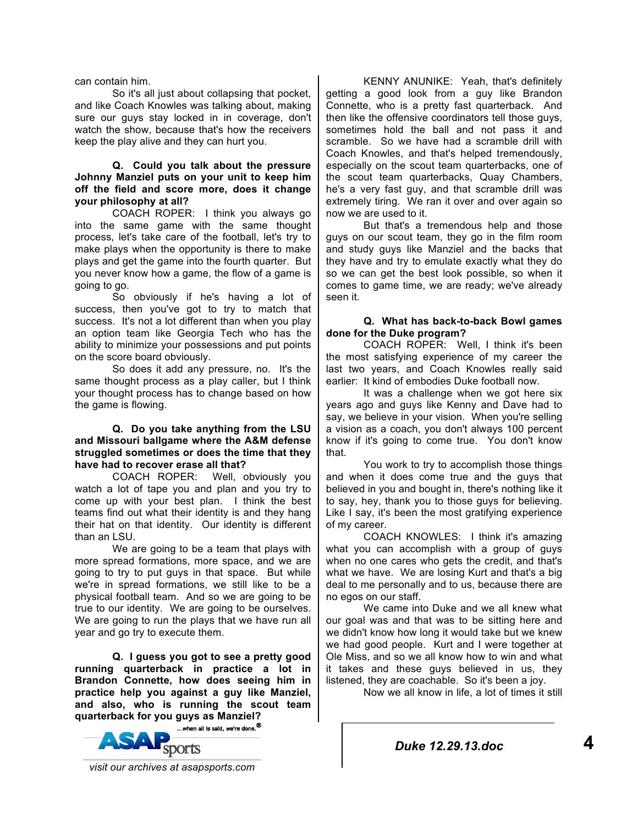can contain him.

So it's all just about collapsing that pocket. and like Coach Knowles was talking about, making sure our guys stay locked in in coverage, don't watch the show, because that's how the receivers keep the play alive and they can hurt you.

## **Q. Could you talk about the pressure Johnny Manziel puts on your unit to keep him off the field and score more, does it change your philosophy at all?**

COACH ROPER: I think you always go into the same game with the same thought process, let's take care of the football, let's try to make plays when the opportunity is there to make plays and get the game into the fourth quarter. But you never know how a game, the flow of a game is going to go.

So obviously if he's having a lot of success, then you've got to try to match that success. It's not a lot different than when you play an option team like Georgia Tech who has the ability to minimize your possessions and put points on the score board obviously.

So does it add any pressure, no. It's the same thought process as a play caller, but I think your thought process has to change based on how the game is flowing.

#### **Q. Do you take anything from the LSU and Missouri ballgame where the A&M defense struggled sometimes or does the time that they have had to recover erase all that?**

COACH ROPER: Well, obviously you watch a lot of tape you and plan and you try to come up with your best plan. I think the best teams find out what their identity is and they hang their hat on that identity. Our identity is different than an LSU.

We are going to be a team that plays with more spread formations, more space, and we are going to try to put guys in that space. But while we're in spread formations, we still like to be a physical football team. And so we are going to be true to our identity. We are going to be ourselves. We are going to run the plays that we have run all year and go try to execute them.

**Q. I guess you got to see a pretty good running quarterback in practice a lot in Brandon Connette, how does seeing him in practice help you against a guy like Manziel, and also, who is running the scout team quarterback for you guys as Manziel?** 

...when all is said, we're done.<sup>®</sup> sports

KENNY ANUNIKE: Yeah, that's definitely getting a good look from a guy like Brandon Connette, who is a pretty fast quarterback. And then like the offensive coordinators tell those guys, sometimes hold the ball and not pass it and scramble. So we have had a scramble drill with Coach Knowles, and that's helped tremendously, especially on the scout team quarterbacks, one of the scout team quarterbacks, Quay Chambers, he's a very fast guy, and that scramble drill was extremely tiring. We ran it over and over again so now we are used to it.

But that's a tremendous help and those guys on our scout team, they go in the film room and study guys like Manziel and the backs that they have and try to emulate exactly what they do so we can get the best look possible, so when it comes to game time, we are ready; we've already seen it.

## **Q. What has back-to-back Bowl games done for the Duke program?**

COACH ROPER: Well, I think it's been the most satisfying experience of my career the last two years, and Coach Knowles really said earlier: It kind of embodies Duke football now.

It was a challenge when we got here six years ago and guys like Kenny and Dave had to say, we believe in your vision. When you're selling a vision as a coach, you don't always 100 percent know if it's going to come true. You don't know that.

You work to try to accomplish those things and when it does come true and the guys that believed in you and bought in, there's nothing like it to say, hey, thank you to those guys for believing. Like I say, it's been the most gratifying experience of my career.

COACH KNOWLES: I think it's amazing what you can accomplish with a group of guys when no one cares who gets the credit, and that's what we have. We are losing Kurt and that's a big deal to me personally and to us, because there are no egos on our staff.

We came into Duke and we all knew what our goal was and that was to be sitting here and we didn't know how long it would take but we knew we had good people. Kurt and I were together at Ole Miss, and so we all know how to win and what it takes and these guys believed in us, they listened, they are coachable. So it's been a joy.

Now we all know in life, a lot of times it still

*Duke 12.29.13.doc* **4**

 *visit our archives at asapsports.com*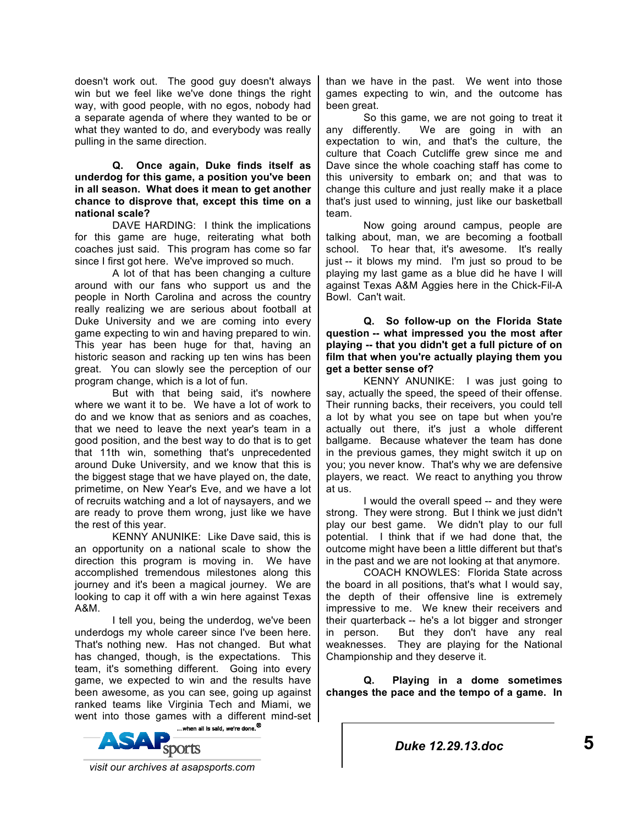doesn't work out. The good guy doesn't always win but we feel like we've done things the right way, with good people, with no egos, nobody had a separate agenda of where they wanted to be or what they wanted to do, and everybody was really pulling in the same direction.

#### **Q. Once again, Duke finds itself as underdog for this game, a position you've been in all season. What does it mean to get another chance to disprove that, except this time on a national scale?**

DAVE HARDING: I think the implications for this game are huge, reiterating what both coaches just said. This program has come so far since I first got here. We've improved so much.

A lot of that has been changing a culture around with our fans who support us and the people in North Carolina and across the country really realizing we are serious about football at Duke University and we are coming into every game expecting to win and having prepared to win. This year has been huge for that, having an historic season and racking up ten wins has been great. You can slowly see the perception of our program change, which is a lot of fun.

But with that being said, it's nowhere where we want it to be. We have a lot of work to do and we know that as seniors and as coaches, that we need to leave the next year's team in a good position, and the best way to do that is to get that 11th win, something that's unprecedented around Duke University, and we know that this is the biggest stage that we have played on, the date, primetime, on New Year's Eve, and we have a lot of recruits watching and a lot of naysayers, and we are ready to prove them wrong, just like we have the rest of this year.

KENNY ANUNIKE: Like Dave said, this is an opportunity on a national scale to show the direction this program is moving in. We have accomplished tremendous milestones along this journey and it's been a magical journey. We are looking to cap it off with a win here against Texas A&M.

I tell you, being the underdog, we've been underdogs my whole career since I've been here. That's nothing new. Has not changed. But what has changed, though, is the expectations. This team, it's something different. Going into every game, we expected to win and the results have been awesome, as you can see, going up against ranked teams like Virginia Tech and Miami, we went into those games with a different mind-set



than we have in the past. We went into those games expecting to win, and the outcome has been great.

So this game, we are not going to treat it any differently. We are going in with an expectation to win, and that's the culture, the culture that Coach Cutcliffe grew since me and Dave since the whole coaching staff has come to this university to embark on; and that was to change this culture and just really make it a place that's just used to winning, just like our basketball team.

Now going around campus, people are talking about, man, we are becoming a football school. To hear that, it's awesome. It's really just -- it blows my mind. I'm just so proud to be playing my last game as a blue did he have I will against Texas A&M Aggies here in the Chick-Fil-A Bowl. Can't wait.

**Q. So follow-up on the Florida State question -- what impressed you the most after playing -- that you didn't get a full picture of on film that when you're actually playing them you get a better sense of?** 

KENNY ANUNIKE: I was just going to say, actually the speed, the speed of their offense. Their running backs, their receivers, you could tell a lot by what you see on tape but when you're actually out there, it's just a whole different ballgame. Because whatever the team has done in the previous games, they might switch it up on you; you never know. That's why we are defensive players, we react. We react to anything you throw at us.

I would the overall speed -- and they were strong. They were strong. But I think we just didn't play our best game. We didn't play to our full potential. I think that if we had done that, the outcome might have been a little different but that's in the past and we are not looking at that anymore.

COACH KNOWLES: Florida State across the board in all positions, that's what I would say, the depth of their offensive line is extremely impressive to me. We knew their receivers and their quarterback -- he's a lot bigger and stronger in person. But they don't have any real weaknesses. They are playing for the National Championship and they deserve it.

**Q. Playing in a dome sometimes changes the pace and the tempo of a game. In** 

*Duke 12.29.13.doc* **5**

 *visit our archives at asapsports.com*